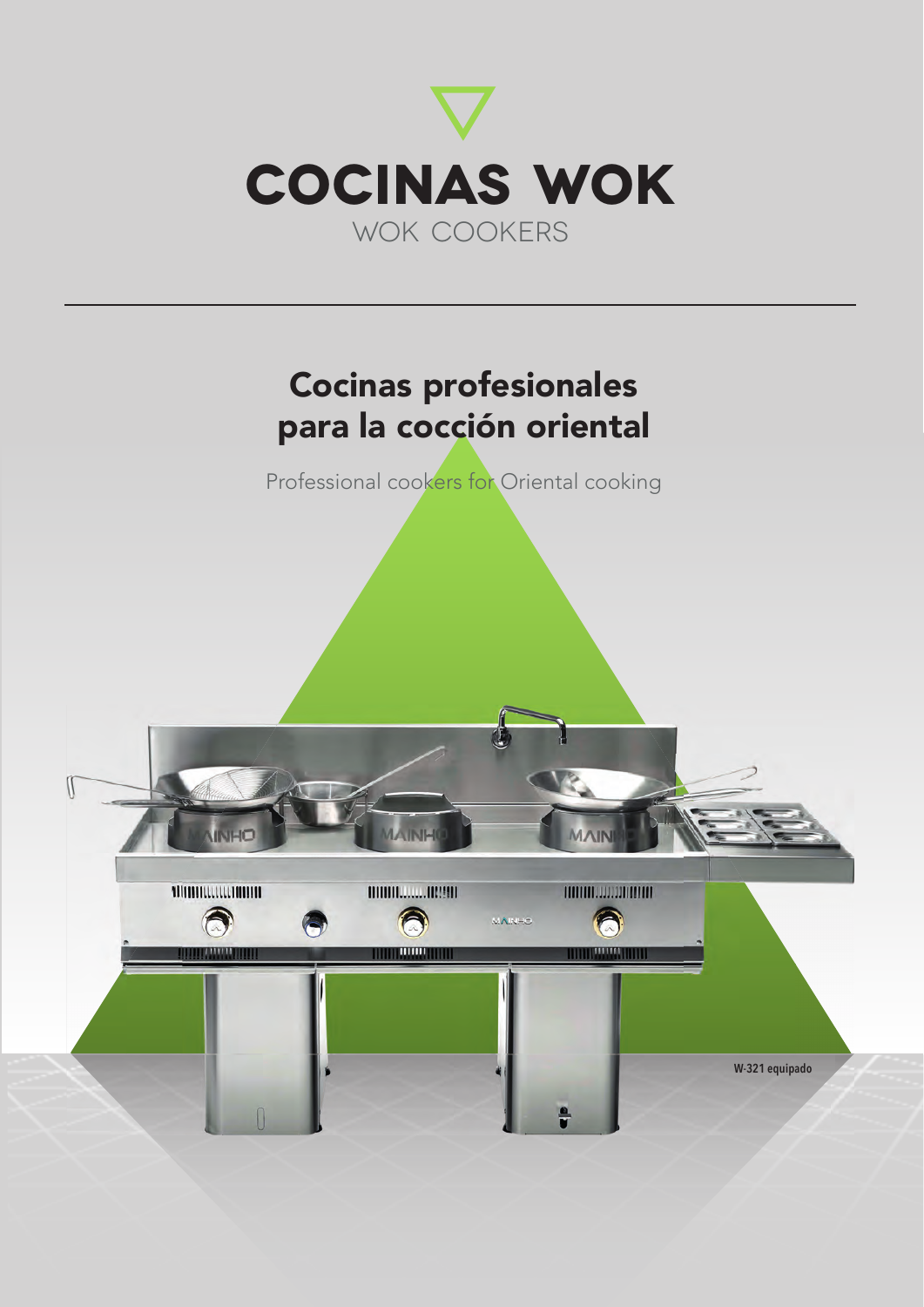

## Cocinas profesionales para la cocción oriental

Professional cookers for Oriental cooking

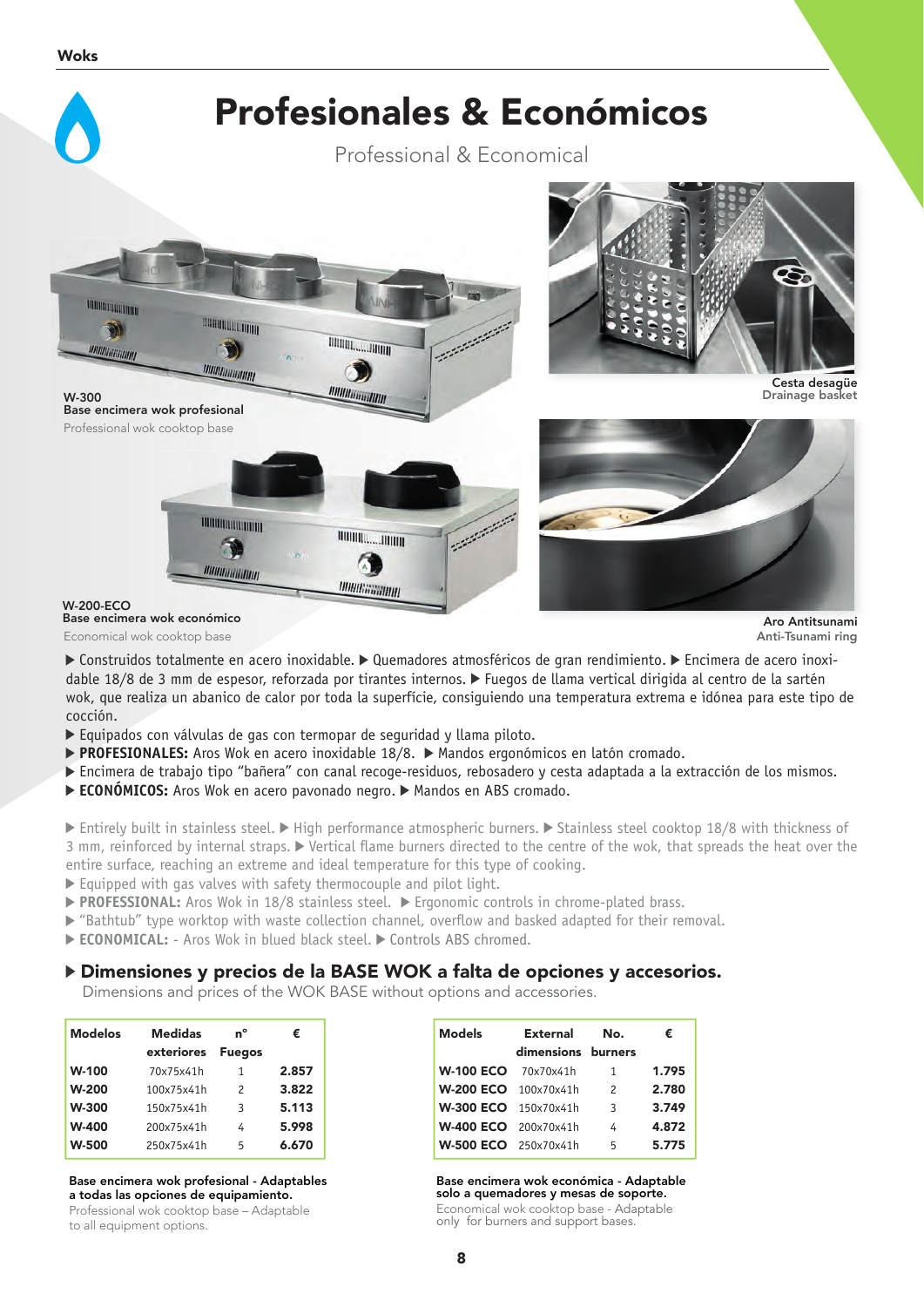

Base encimera wok económico Economical wok cooktop base

**Aro Antitsunami**<br>Anti-Tsunami ring

▶ Construidos totalmente en acero inoxidable. ▶ Quemadores atmosféricos de gran rendimiento. ▶ Encimera de acero inoxidable 18/8 de 3 mm de espesor, reforzada por tirantes internos. Fuegos de llama vertical dirigida al centro de la sartén wok, que realiza un abanico de calor por toda la superfície, consiguiendo una temperatura extrema e idónea para este tipo de cocción.

- Equipados con válvulas de gas con termopar de seguridad y llama piloto.
- **► PROFESIONALES:** Aros Wok en acero inoxidable 18/8. ► Mandos ergonómicos en latón cromado.
- Encimera de trabajo tipo "bañera" con canal recoge-residuos, rebosadero y cesta adaptada a la extracción de los mismos.
- ► **ECONÓMICOS:** Aros Wok en acero pavonado negro. ► Mandos en ABS cromado.

Entirely built in stainless steel.  $\blacktriangleright$  High performance atmospheric burners.  $\blacktriangleright$  Stainless steel cooktop 18/8 with thickness of 3 mm, reinforced by internal straps.  $\blacktriangleright$  Vertical flame burners directed to the centre of the wok, that spreads the heat over the entire surface, reaching an extreme and ideal temperature for this type of cooking.

- $\triangleright$  Equipped with gas valves with safety thermocouple and pilot light.
- ▶ **PROFESSIONAL:** Aros Wok in 18/8 stainless steel. ▶ Ergonomic controls in chrome-plated brass.
- $\triangleright$  "Bathtub" type worktop with waste collection channel, overflow and basked adapted for their removal.
- ECONOMICAL: Aros Wok in blued black steel. Controls ABS chromed.

#### Dimensiones y precios de la BASE WOK a falta de opciones y accesorios.

Dimensions and prices of the WOK BASE without options and accessories.

| <b>Modelos</b> | <b>Medidas</b> | 'n°           | €     |
|----------------|----------------|---------------|-------|
|                | exteriores     | <b>Fuegos</b> |       |
| <b>W-100</b>   | 70x75x41h      | 1             | 2.857 |
| <b>W-200</b>   | 100x75x41h     | $\mathcal{P}$ | 3.822 |
| <b>W-300</b>   | 150x75x41h     | 3             | 5.113 |
| <b>W-400</b>   | 200x75x41h     | 4             | 5.998 |
| <b>W-500</b>   | 250x75x41h     | 5             | 6.670 |

#### Base encimera wok profesional - Adaptables a todas las opciones de equipamiento.

Professional wok cooktop base – Adaptable to all equipment options.

| <b>Models</b>               | External           | No.            | €     |
|-----------------------------|--------------------|----------------|-------|
|                             | dimensions burners |                |       |
| <b>W-100 ECO</b> 70x70x41h  |                    | 1              | 1.795 |
| <b>W-200 ECO</b> 100x70x41h |                    | $\mathcal{P}$  | 2.780 |
| <b>W-300 ECO</b> 150x70x41h |                    | $\overline{3}$ | 3.749 |
| <b>W-400 ECO</b> 200x70x41h |                    | 4              | 4.872 |
| <b>W-500 ECO</b> 250x70x41h |                    | 5              | 5.775 |

Base encimera wok económica - Adaptable solo a quemadores y mesas de soporte. Economical wok cooktop base - Adaptable

only for burners and support bases.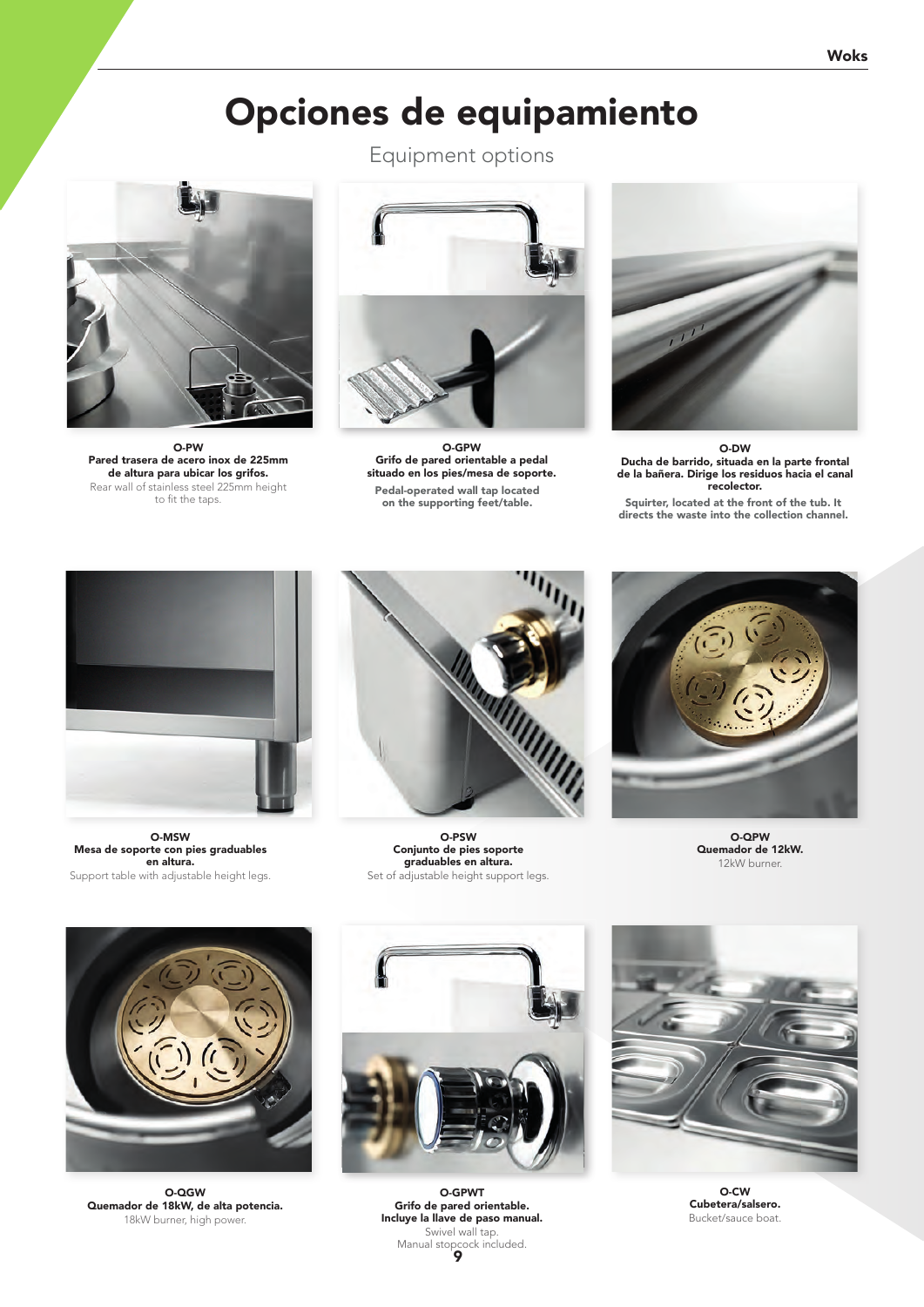## Opciones de equipamiento



O-PW Pared trasera de acero inox de 225mm de altura para ubicar los grifos. Rear wall of stainless steel 225mm height to fit the taps.

Equipment options



O-GPW Grifo de pared orientable a pedal situado en los pies/mesa de soporte. Pedal-operated wall tap located



O-DW Ducha de barrido, situada en la parte frontal de la bañera. Dirige los residuos hacia el canal recolector.

Squirter, located at the front of the tub. It directs the waste into the collection channel.



O-MSW Mesa de soporte con pies graduables en altura. Support table with adjustable height legs.



O-PSW Conjunto de pies soporte graduables en altura. Set of adjustable height support legs.



O-QPW Quemador de 12kW. 12kW burner.



O-QGW Quemador de 18kW, de alta potencia. 18kW burner, high power.



9 Manual stopcock included. O-GPWT Grifo de pared orientable. Incluye la llave de paso manual. Swivel wall tap.



O-CW Cubetera/salsero. Bucket/sauce boat.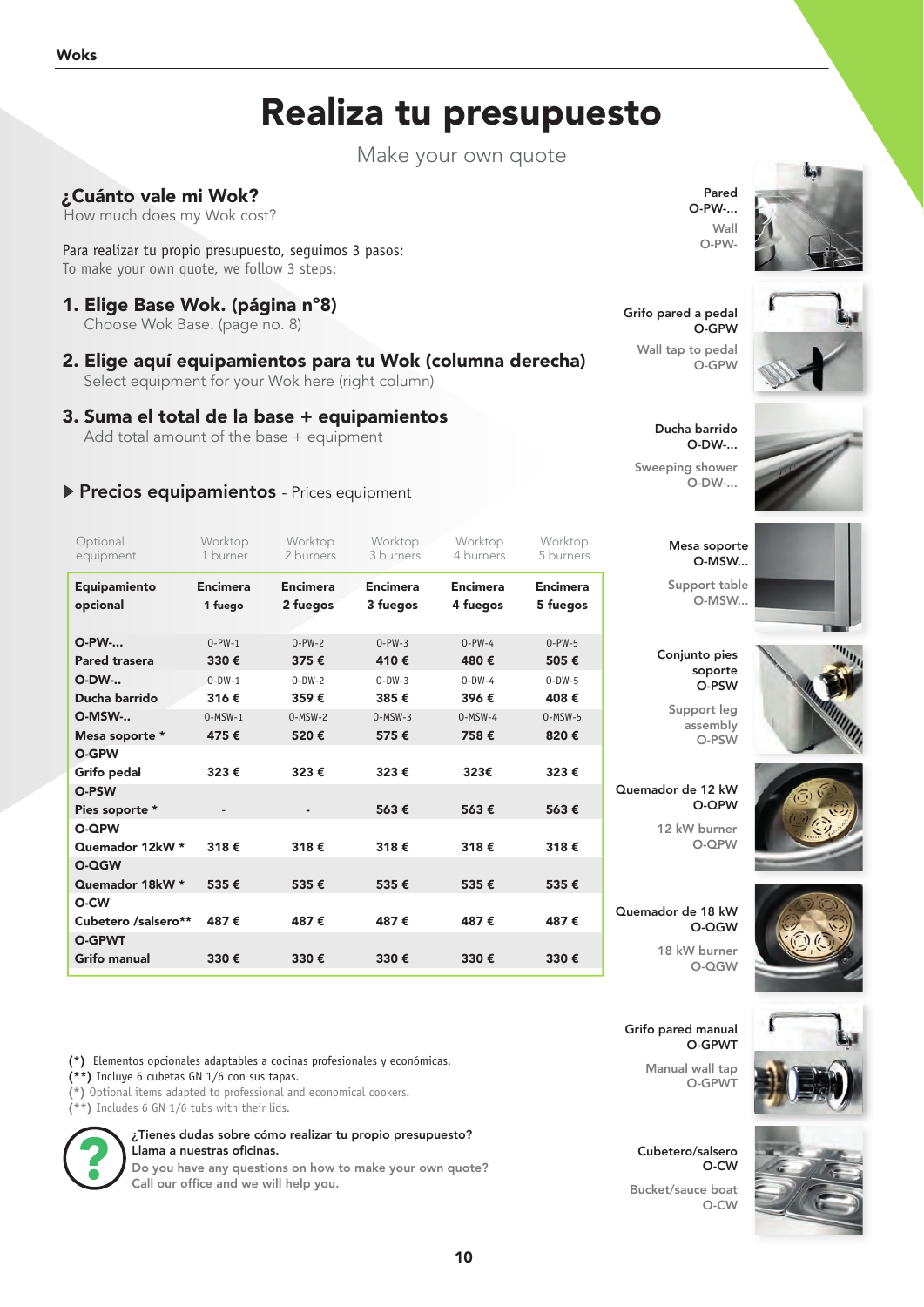## Realiza tu presupuesto

Make your own quote

### ¿Cuánto vale mi Wok?

How much does my Wok cost?

Para realizar tu propio presupuesto, seguimos 3 pasos: To make your own quote, we follow 3 steps:

- 1. Elige Base Wok. (página nº8) Choose Wok Base. (page no. 8)
- 2. Elige aquí equipamientos para tu Wok (columna derecha) Select equipment for your Wok here (right column)

#### 3. Suma el total de la base + equipamientos

Add total amount of the base + equipment

### Precios equipamientos - Prices equipment

| Optional<br>equipment    | Worktop<br>1 burner        | Worktop<br>2 burners        | Worktop<br>3 burners        | Worktop<br>4 burners        | Worktop<br>5 burners        |
|--------------------------|----------------------------|-----------------------------|-----------------------------|-----------------------------|-----------------------------|
| Equipamiento<br>opcional | <b>Encimera</b><br>1 fuego | <b>Encimera</b><br>2 fuegos | <b>Encimera</b><br>3 fuegos | <b>Encimera</b><br>4 fuegos | <b>Encimera</b><br>5 fuegos |
| <b>O-PW-</b>             | $0-PW-1$                   | $0-PW-2$                    | $0-PW-3$                    | $0-PW-4$                    | $0-PW-5$                    |
| Pared trasera            | 330€                       | 375€                        | 410€                        | 480€                        | 505€                        |
| <b>O-DW-</b>             | $0 - DW - 1$               | $0-DW-2$                    | $0-DW-3$                    | $0-DW-4$                    | $0-DW-5$                    |
| Ducha barrido            | 316€                       | 359€                        | 385€                        | 396€                        | 408€                        |
| O-MSW-                   | $0-MSW-1$                  | $0-MSW-2$                   | $0-MSW-3$                   | $0-MSW-4$                   | $0-MSW-5$                   |
| Mesa soporte *           | 475€                       | 520€                        | 575€                        | 758€                        | 820€                        |
| <b>O-GPW</b>             |                            |                             |                             |                             |                             |
| Grifo pedal              | 323€                       | 323€                        | 323€                        | 323€                        | 323€                        |
| O-PSW                    |                            |                             |                             |                             |                             |
| Pies soporte *           |                            |                             | 563€                        | 563€                        | 563€                        |
| <b>O-QPW</b>             |                            |                             |                             |                             |                             |
| Quemador 12kW *          | 318€                       | 318€                        | 318€                        | 318€                        | 318€                        |
| O-QGW                    |                            |                             |                             |                             |                             |
| Quemador 18kW *          | 535€                       | 535€                        | 535€                        | 535€                        | 535€                        |
| O-CW                     |                            |                             |                             |                             |                             |
| Cubetero /salsero**      | 487€                       | 487€                        | 487€                        | 487€                        | 487€                        |
| <b>O-GPWT</b>            |                            |                             |                             |                             |                             |
| <b>Grifo manual</b>      | 330€                       | 330€                        | 330€                        | 330€                        | 330€                        |

**(\*)** Elementos opcionales adaptables a cocinas profesionales y económicas.

**(\*\*)** Incluye 6 cubetas GN 1/6 con sus tapas.

**(\*)** Optional items adapted to professional and economical cookers.

**(\*\*)** Includes 6 GN 1/6 tubs with their lids.



¿Tienes dudas sobre cómo realizar tu propio presupuesto? Llama a nuestras oficinas.

Do you have any questions on how to make your own quote? Call our office and we will help you.

Pared O-PW-... Wall O-PW-

Grifo pared a pedal O-GPW

Wall tap to pedal O-GPW

Ducha barrido O-DW-... Sweeping shower O-DW-...

> Mesa soporte O-MSW...

Support table O-MSW...

Conjunto pies soporte O-PSW Support leg assembly O-PSW

Quemador de 12 kW

Quemador de 18 kW

O-QPW 12 kW burner O-QPW

O-QGW 18 kW burner O-QGW





Grifo pared manual O-GPWT

> Manual wall tap O-GPWT

Cubetero/salsero O-CW Bucket/sauce boat  $C<sub>W</sub>$ 



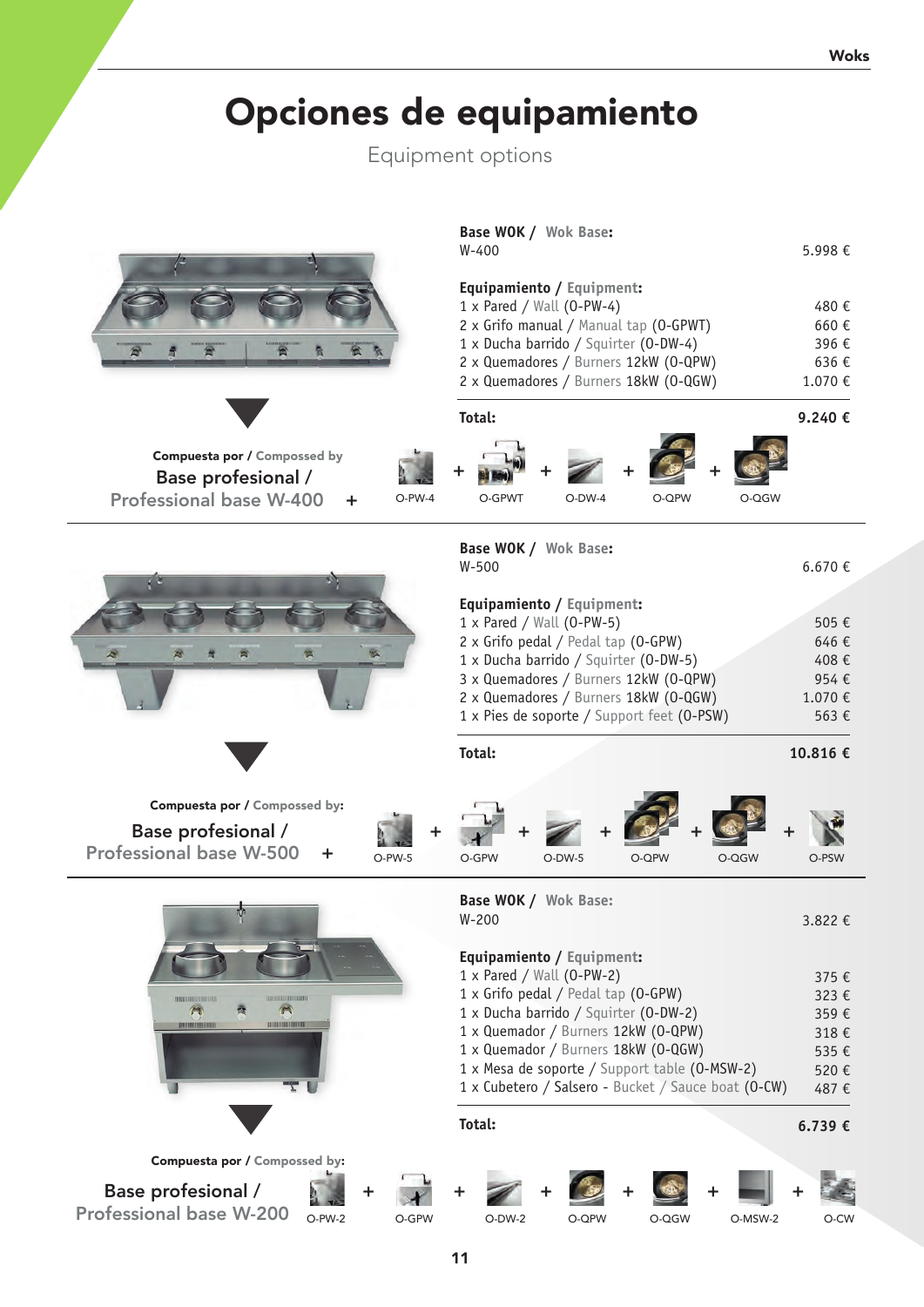# Opciones de equipamiento

Equipment options

| Compuesta por / Compossed by<br>Base profesional /<br><b>Professional base W-400</b><br>$O-PW-4$<br>+  | Base WOK / Wok Base:<br>$W - 400$<br>Equipamiento / Equipment:<br>$1 \times$ Pared / Wall (0-PW-4)<br>2 x Grifo manual / Manual tap (0-GPWT)<br>1 x Ducha barrido / Squirter (0-DW-4)<br>2 x Quemadores / Burners 12kW (0-QPW)<br>2 x Quemadores / Burners 18kW (0-QGW)<br>Total:<br>O-GPWT<br>O-QPW<br>O-QGW<br>$O-DW-4$                                       | 5.998€<br>480€<br>660€<br>396€<br>636€<br>1.070 €<br>9.240€          |
|--------------------------------------------------------------------------------------------------------|-----------------------------------------------------------------------------------------------------------------------------------------------------------------------------------------------------------------------------------------------------------------------------------------------------------------------------------------------------------------|----------------------------------------------------------------------|
|                                                                                                        | Base WOK / Wok Base:<br>$W-500$<br>Equipamiento / Equipment:<br>1 x Pared / Wall (0-PW-5)<br>2 x Grifo pedal / Pedal tap (0-GPW)<br>1 x Ducha barrido / Squirter (0-DW-5)<br>3 x Quemadores / Burners 12kW (0-QPW)<br>2 x Quemadores / Burners 18kW (0-QGW)<br>1 x Pies de soporte / Support feet (0-PSW)<br>Total:                                             | 6.670 €<br>505€<br>646€<br>408€<br>954€<br>1.070€<br>563€<br>10.816€ |
| Compuesta por / Compossed by:<br>Base profesional /<br><b>Professional base W-500</b><br>÷<br>$O-PW-5$ | O-GPW<br>$O-DW-5$<br>O-QPW<br>O-QGW                                                                                                                                                                                                                                                                                                                             | O-PSW                                                                |
| Ù.<br><b>TROTHODOLOGICAL</b><br>$\blacksquare$<br>襾<br>000000000000<br><b>UNIVERSITY</b>               | Base WOK / Wok Base:<br>$W-200$<br>Equipamiento / Equipment:<br>1 x Pared / Wall (0-PW-2)<br>1 x Grifo pedal / Pedal tap (0-GPW)<br>1 x Ducha barrido / Squirter (0-DW-2)<br>1 x Quemador / Burners 12kW (0-QPW)<br>1 x Quemador / Burners 18kW (0-QGW)<br>1 x Mesa de soporte / Support table (0-MSW-2)<br>1 x Cubetero / Salsero - Bucket / Sauce boat (O-CW) | 3.822 €<br>375€<br>323€<br>359€<br>318€<br>535€<br>520€<br>487€      |
|                                                                                                        | Total:                                                                                                                                                                                                                                                                                                                                                          | 6.739€                                                               |
| Compuesta por / Compossed by:<br>Base profesional /<br>÷<br><b>Professional base W-200</b>             |                                                                                                                                                                                                                                                                                                                                                                 |                                                                      |
| O-PW-2<br>O-GPW                                                                                        | O-MSW-2<br>O-DW-2<br>O-QPW<br>O-QGW                                                                                                                                                                                                                                                                                                                             | O-CW                                                                 |

11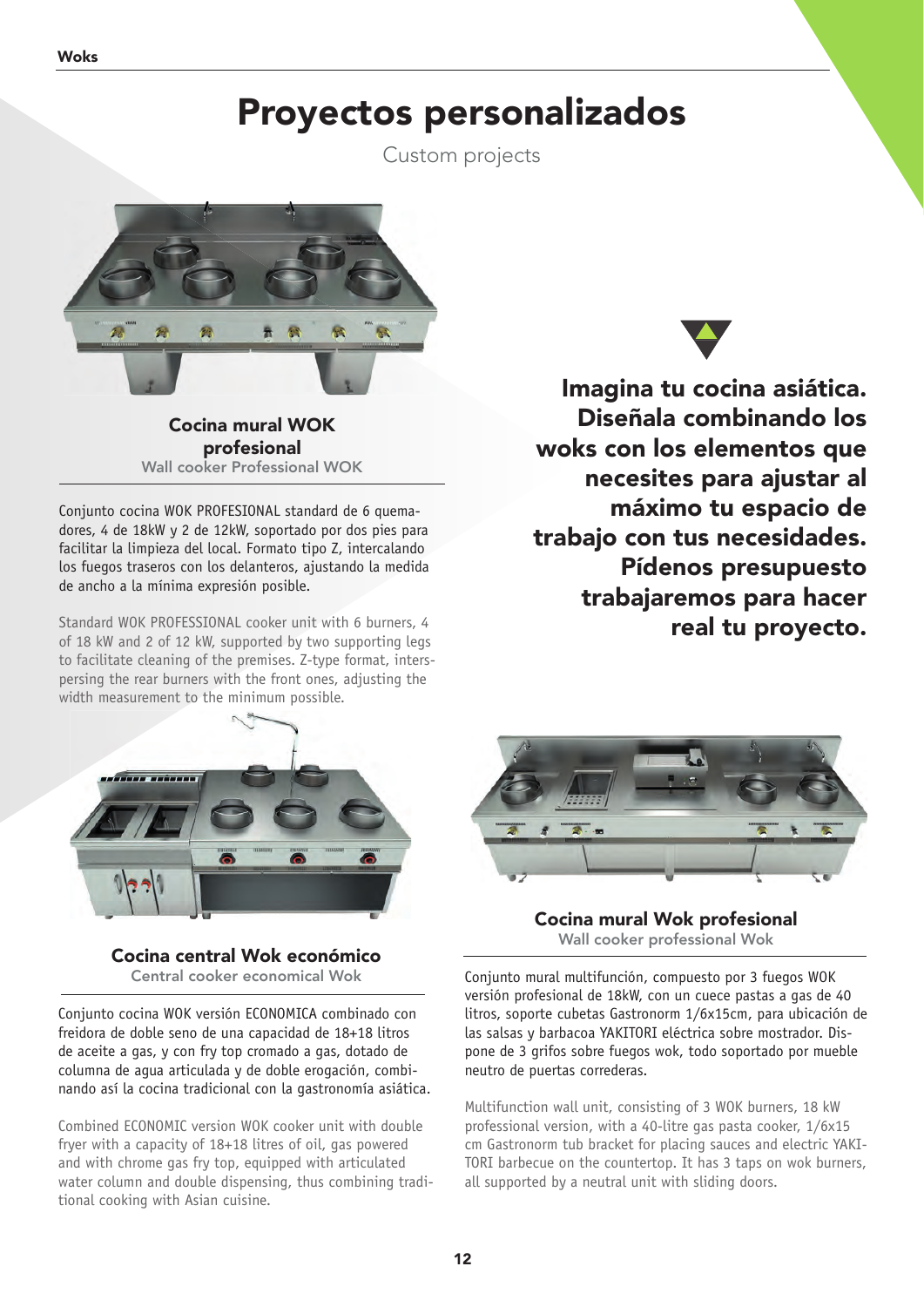## Proyectos personalizados

Custom projects



Cocina mural WOK profesional Wall cooker Professional WOK

Conjunto cocina WOK PROFESIONAL standard de 6 quemadores, 4 de 18kW y 2 de 12kW, soportado por dos pies para facilitar la limpieza del local. Formato tipo Z, intercalando los fuegos traseros con los delanteros, ajustando la medida de ancho a la mínima expresión posible.

Standard WOK PROFESSIONAL cooker unit with 6 burners, 4 of 18 kW and 2 of 12 kW, supported by two supporting legs to facilitate cleaning of the premises. Z-type format, interspersing the rear burners with the front ones, adjusting the width measurement to the minimum possible.



Cocina central Wok económico Central cooker economical Wok

Conjunto cocina WOK versión ECONOMICA combinado con freidora de doble seno de una capacidad de 18+18 litros de aceite a gas, y con fry top cromado a gas, dotado de columna de agua articulada y de doble erogación, combinando así la cocina tradicional con la gastronomía asiática.

Combined ECONOMIC version WOK cooker unit with double fryer with a capacity of 18+18 litres of oil, gas powered and with chrome gas fry top, equipped with articulated water column and double dispensing, thus combining traditional cooking with Asian cuisine.



Imagina tu cocina asiática. Diseñala combinando los woks con los elementos que necesites para ajustar al máximo tu espacio de trabajo con tus necesidades. Pídenos presupuesto trabajaremos para hacer real tu proyecto.



Cocina mural Wok profesional Wall cooker professional Wok

Conjunto mural multifunción, compuesto por 3 fuegos WOK versión profesional de 18kW, con un cuece pastas a gas de 40 litros, soporte cubetas Gastronorm 1/6x15cm, para ubicación de las salsas y barbacoa YAKITORI eléctrica sobre mostrador. Dispone de 3 grifos sobre fuegos wok, todo soportado por mueble neutro de puertas correderas.

Multifunction wall unit, consisting of 3 WOK burners, 18 kW professional version, with a 40-litre gas pasta cooker, 1/6x15 cm Gastronorm tub bracket for placing sauces and electric YAKI-TORI barbecue on the countertop. It has 3 taps on wok burners, all supported by a neutral unit with sliding doors.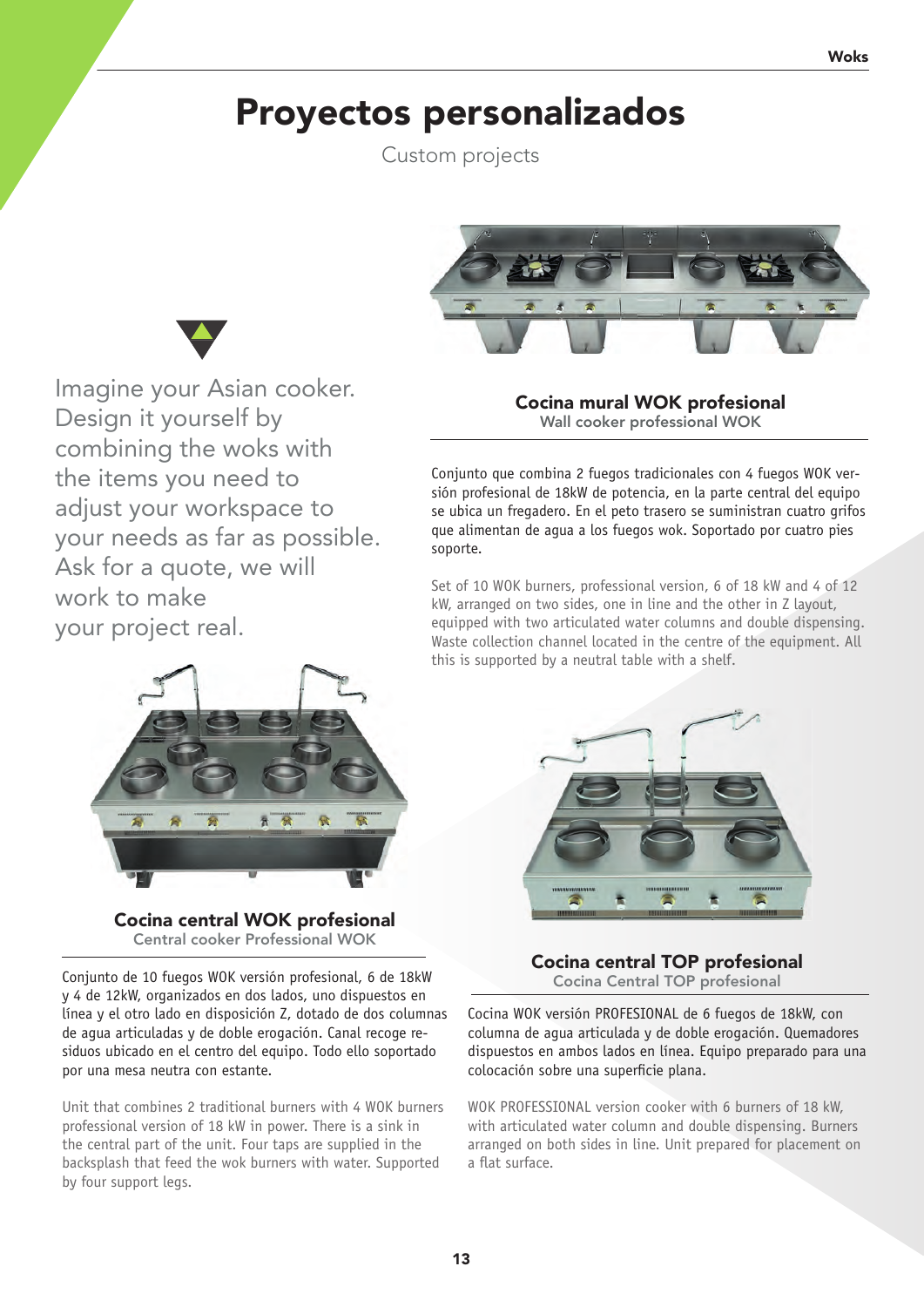## Proyectos personalizados

Custom projects



Imagine your Asian cooker. Design it yourself by combining the woks with the items you need to adjust your workspace to your needs as far as possible. Ask for a quote, we will work to make your project real.

Cocina mural WOK profesional Wall cooker professional WOK

Conjunto que combina 2 fuegos tradicionales con 4 fuegos WOK versión profesional de 18kW de potencia, en la parte central del equipo se ubica un fregadero. En el peto trasero se suministran cuatro grifos que alimentan de agua a los fuegos wok. Soportado por cuatro pies soporte.

Set of 10 WOK burners, professional version, 6 of 18 kW and 4 of 12 kW, arranged on two sides, one in line and the other in Z layout, equipped with two articulated water columns and double dispensing. Waste collection channel located in the centre of the equipment. All this is supported by a neutral table with a shelf.



Cocina central TOP profesional Cocina Central TOP profesional

Cocina WOK versión PROFESIONAL de 6 fuegos de 18kW, con columna de agua articulada y de doble erogación. Quemadores dispuestos en ambos lados en línea. Equipo preparado para una colocación sobre una superficie plana.

WOK PROFESSIONAL version cooker with 6 burners of 18 kW, with articulated water column and double dispensing. Burners arranged on both sides in line. Unit prepared for placement on a flat surface.





Cocina central WOK profesional Central cooker Professional WOK

Conjunto de 10 fuegos WOK versión profesional, 6 de 18kW y 4 de 12kW, organizados en dos lados, uno dispuestos en línea y el otro lado en disposición Z, dotado de dos columnas de agua articuladas y de doble erogación. Canal recoge residuos ubicado en el centro del equipo. Todo ello soportado por una mesa neutra con estante.

Unit that combines 2 traditional burners with 4 WOK burners professional version of 18 kW in power. There is a sink in the central part of the unit. Four taps are supplied in the backsplash that feed the wok burners with water. Supported by four support legs.